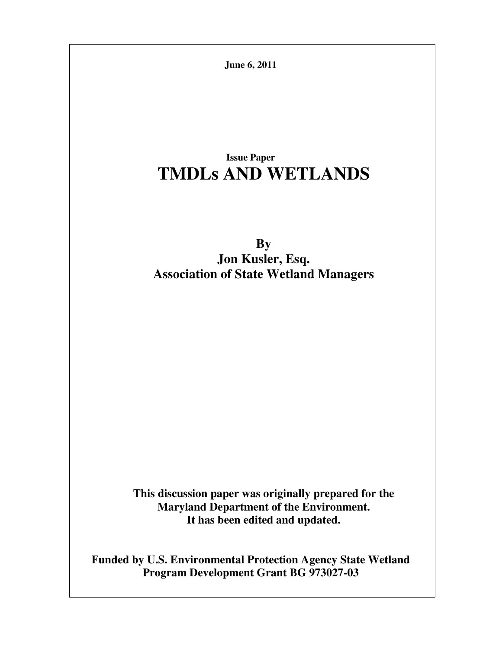**June 6, 2011**

# **Issue Paper TMDLs AND WETLANDS**

**By Jon Kusler, Esq. Association of State Wetland Managers** 

**This discussion paper was originally prepared for the Maryland Department of the Environment. It has been edited and updated.** 

**Funded by U.S. Environmental Protection Agency State Wetland Program Development Grant BG 973027-03**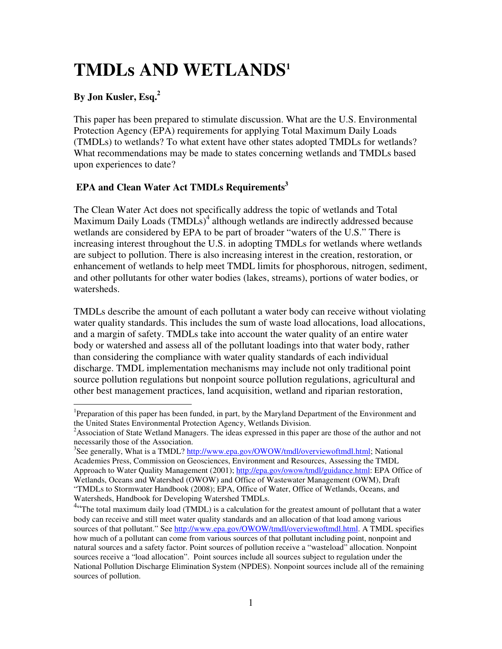# **TMDLs AND WETLANDS<sup>1</sup>**

### **By Jon Kusler, Esq.<sup>2</sup>**

 $\overline{a}$ 

This paper has been prepared to stimulate discussion. What are the U.S. Environmental Protection Agency (EPA) requirements for applying Total Maximum Daily Loads (TMDLs) to wetlands? To what extent have other states adopted TMDLs for wetlands? What recommendations may be made to states concerning wetlands and TMDLs based upon experiences to date?

### **EPA and Clean Water Act TMDLs Requirements<sup>3</sup>**

The Clean Water Act does not specifically address the topic of wetlands and Total Maximum Daily Loads  $(TMDLs)^4$  although wetlands are indirectly addressed because wetlands are considered by EPA to be part of broader "waters of the U.S." There is increasing interest throughout the U.S. in adopting TMDLs for wetlands where wetlands are subject to pollution. There is also increasing interest in the creation, restoration, or enhancement of wetlands to help meet TMDL limits for phosphorous, nitrogen, sediment, and other pollutants for other water bodies (lakes, streams), portions of water bodies, or watersheds.

TMDLs describe the amount of each pollutant a water body can receive without violating water quality standards. This includes the sum of waste load allocations, load allocations, and a margin of safety. TMDLs take into account the water quality of an entire water body or watershed and assess all of the pollutant loadings into that water body, rather than considering the compliance with water quality standards of each individual discharge. TMDL implementation mechanisms may include not only traditional point source pollution regulations but nonpoint source pollution regulations, agricultural and other best management practices, land acquisition, wetland and riparian restoration,

<sup>&</sup>lt;sup>1</sup>Preparation of this paper has been funded, in part, by the Maryland Department of the Environment and the United States Environmental Protection Agency, Wetlands Division.

<sup>&</sup>lt;sup>2</sup>Association of State Wetland Managers. The ideas expressed in this paper are those of the author and not necessarily those of the Association.

<sup>&</sup>lt;sup>3</sup>See generally, What is a TMDL? http://www.epa.gov/OWOW/tmdl/overviewoftmdl.html; National Academies Press, Commission on Geosciences, Environment and Resources, Assessing the TMDL Approach to Water Quality Management (2001); http://epa.gov/owow/tmdl/guidance.html: EPA Office of Wetlands, Oceans and Watershed (OWOW) and Office of Wastewater Management (OWM), Draft "TMDLs to Stormwater Handbook (2008); EPA, Office of Water, Office of Wetlands, Oceans, and Watersheds, Handbook for Developing Watershed TMDLs.

<sup>&</sup>lt;sup>4</sup>"The total maximum daily load (TMDL) is a calculation for the greatest amount of pollutant that a water body can receive and still meet water quality standards and an allocation of that load among various sources of that pollutant." See http://www.epa.gov/OWOW/tmdl/overviewoftmdl.html. A TMDL specifies how much of a pollutant can come from various sources of that pollutant including point, nonpoint and natural sources and a safety factor. Point sources of pollution receive a "wasteload" allocation. Nonpoint sources receive a "load allocation". Point sources include all sources subject to regulation under the National Pollution Discharge Elimination System (NPDES). Nonpoint sources include all of the remaining sources of pollution.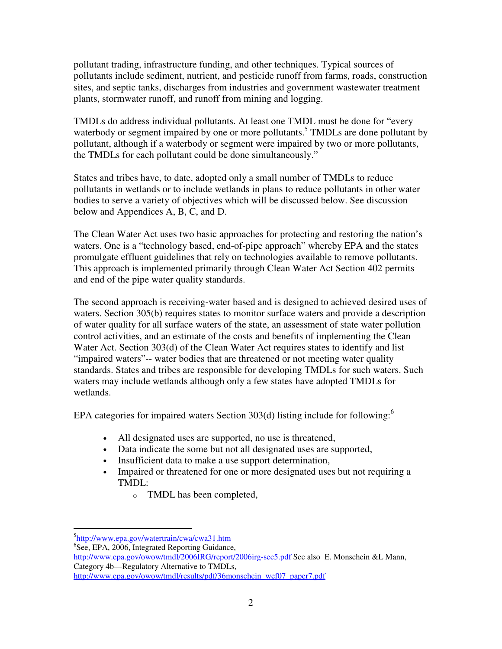pollutant trading, infrastructure funding, and other techniques. Typical sources of pollutants include sediment, nutrient, and pesticide runoff from farms, roads, construction sites, and septic tanks, discharges from industries and government wastewater treatment plants, stormwater runoff, and runoff from mining and logging.

TMDLs do address individual pollutants. At least one TMDL must be done for "every waterbody or segment impaired by one or more pollutants.<sup>5</sup> TMDLs are done pollutant by pollutant, although if a waterbody or segment were impaired by two or more pollutants, the TMDLs for each pollutant could be done simultaneously."

States and tribes have, to date, adopted only a small number of TMDLs to reduce pollutants in wetlands or to include wetlands in plans to reduce pollutants in other water bodies to serve a variety of objectives which will be discussed below. See discussion below and Appendices A, B, C, and D.

The Clean Water Act uses two basic approaches for protecting and restoring the nation's waters. One is a "technology based, end-of-pipe approach" whereby EPA and the states promulgate effluent guidelines that rely on technologies available to remove pollutants. This approach is implemented primarily through Clean Water Act Section 402 permits and end of the pipe water quality standards.

The second approach is receiving-water based and is designed to achieved desired uses of waters. Section 305(b) requires states to monitor surface waters and provide a description of water quality for all surface waters of the state, an assessment of state water pollution control activities, and an estimate of the costs and benefits of implementing the Clean Water Act. Section 303(d) of the Clean Water Act requires states to identify and list "impaired waters"-- water bodies that are threatened or not meeting water quality standards. States and tribes are responsible for developing TMDLs for such waters. Such waters may include wetlands although only a few states have adopted TMDLs for wetlands.

EPA categories for impaired waters Section 303(d) listing include for following: $<sup>6</sup>$ </sup>

- All designated uses are supported, no use is threatened,
- Data indicate the some but not all designated uses are supported,
- Insufficient data to make a use support determination,
- Impaired or threatened for one or more designated uses but not requiring a TMDL:
	- o TMDL has been completed,

 $\overline{a}$ 

6 See, EPA, 2006, Integrated Reporting Guidance,

http://www.epa.gov/owow/tmdl/2006IRG/report/2006irg-sec5.pdf See also E. Monschein &L Mann, Category 4b—Regulatory Alternative to TMDLs, http://www.epa.gov/owow/tmdl/results/pdf/36monschein\_wef07\_paper7.pdf

<sup>&</sup>lt;sup>5</sup>http://www.epa.gov/watertrain/cwa/cwa31.htm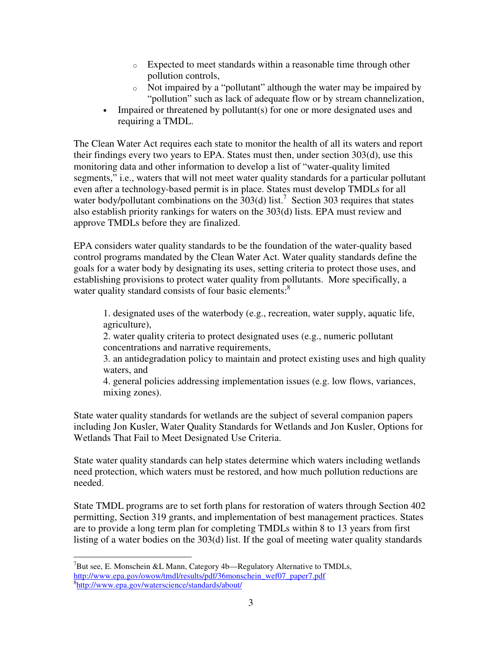- o Expected to meet standards within a reasonable time through other pollution controls,
- o Not impaired by a "pollutant" although the water may be impaired by "pollution" such as lack of adequate flow or by stream channelization,
- Impaired or threatened by pollutant(s) for one or more designated uses and requiring a TMDL.

The Clean Water Act requires each state to monitor the health of all its waters and report their findings every two years to EPA. States must then, under section 303(d), use this monitoring data and other information to develop a list of "water-quality limited segments," i.e., waters that will not meet water quality standards for a particular pollutant even after a technology-based permit is in place. States must develop TMDLs for all water body/pollutant combinations on the  $303(d)$  list.<sup>7</sup> Section 303 requires that states also establish priority rankings for waters on the 303(d) lists. EPA must review and approve TMDLs before they are finalized.

EPA considers water quality standards to be the foundation of the water-quality based control programs mandated by the Clean Water Act. Water quality standards define the goals for a water body by designating its uses, setting criteria to protect those uses, and establishing provisions to protect water quality from pollutants. More specifically, a water quality standard consists of four basic elements:<sup>8</sup>

1. designated uses of the waterbody (e.g., recreation, water supply, aquatic life, agriculture),

2. water quality criteria to protect designated uses (e.g., numeric pollutant concentrations and narrative requirements,

3. an antidegradation policy to maintain and protect existing uses and high quality waters, and

4. general policies addressing implementation issues (e.g. low flows, variances, mixing zones).

State water quality standards for wetlands are the subject of several companion papers including Jon Kusler, Water Quality Standards for Wetlands and Jon Kusler, Options for Wetlands That Fail to Meet Designated Use Criteria.

State water quality standards can help states determine which waters including wetlands need protection, which waters must be restored, and how much pollution reductions are needed.

State TMDL programs are to set forth plans for restoration of waters through Section 402 permitting, Section 319 grants, and implementation of best management practices. States are to provide a long term plan for completing TMDLs within 8 to 13 years from first listing of a water bodies on the 303(d) list. If the goal of meeting water quality standards

 $\overline{a}$ <sup>7</sup>But see, E. Monschein &L Mann, Category 4b—Regulatory Alternative to TMDLs, http://www.epa.gov/owow/tmdl/results/pdf/36monschein\_wef07\_paper7.pdf 8 http://www.epa.gov/waterscience/standards/about/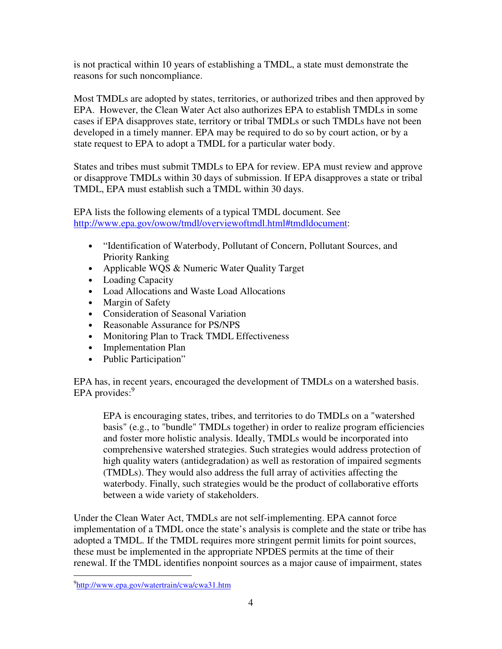is not practical within 10 years of establishing a TMDL, a state must demonstrate the reasons for such noncompliance.

Most TMDLs are adopted by states, territories, or authorized tribes and then approved by EPA. However, the Clean Water Act also authorizes EPA to establish TMDLs in some cases if EPA disapproves state, territory or tribal TMDLs or such TMDLs have not been developed in a timely manner. EPA may be required to do so by court action, or by a state request to EPA to adopt a TMDL for a particular water body.

States and tribes must submit TMDLs to EPA for review. EPA must review and approve or disapprove TMDLs within 30 days of submission. If EPA disapproves a state or tribal TMDL, EPA must establish such a TMDL within 30 days.

EPA lists the following elements of a typical TMDL document. See http://www.epa.gov/owow/tmdl/overviewoftmdl.html#tmdldocument:

- "Identification of Waterbody, Pollutant of Concern, Pollutant Sources, and Priority Ranking
- Applicable WQS & Numeric Water Quality Target
- Loading Capacity
- Load Allocations and Waste Load Allocations
- Margin of Safety
- Consideration of Seasonal Variation
- Reasonable Assurance for PS/NPS
- Monitoring Plan to Track TMDL Effectiveness
- Implementation Plan
- Public Participation"

EPA has, in recent years, encouraged the development of TMDLs on a watershed basis.  $EPA$  provides: $9$ 

EPA is encouraging states, tribes, and territories to do TMDLs on a "watershed basis" (e.g., to "bundle" TMDLs together) in order to realize program efficiencies and foster more holistic analysis. Ideally, TMDLs would be incorporated into comprehensive watershed strategies. Such strategies would address protection of high quality waters (antidegradation) as well as restoration of impaired segments (TMDLs). They would also address the full array of activities affecting the waterbody. Finally, such strategies would be the product of collaborative efforts between a wide variety of stakeholders.

Under the Clean Water Act, TMDLs are not self-implementing. EPA cannot force implementation of a TMDL once the state's analysis is complete and the state or tribe has adopted a TMDL. If the TMDL requires more stringent permit limits for point sources, these must be implemented in the appropriate NPDES permits at the time of their renewal. If the TMDL identifies nonpoint sources as a major cause of impairment, states

 $\overline{a}$ 

<sup>&</sup>lt;sup>9</sup>http://www.epa.gov/watertrain/cwa/cwa31.htm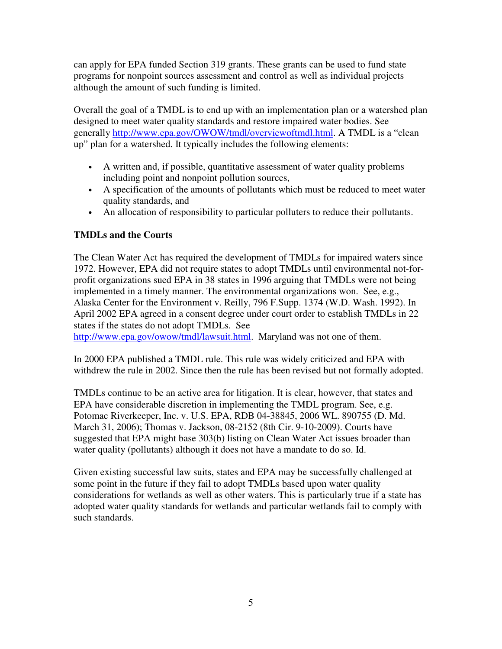can apply for EPA funded Section 319 grants. These grants can be used to fund state programs for nonpoint sources assessment and control as well as individual projects although the amount of such funding is limited.

Overall the goal of a TMDL is to end up with an implementation plan or a watershed plan designed to meet water quality standards and restore impaired water bodies. See generally http://www.epa.gov/OWOW/tmdl/overviewoftmdl.html. A TMDL is a "clean up" plan for a watershed. It typically includes the following elements:

- A written and, if possible, quantitative assessment of water quality problems including point and nonpoint pollution sources,
- A specification of the amounts of pollutants which must be reduced to meet water quality standards, and
- An allocation of responsibility to particular polluters to reduce their pollutants.

### **TMDLs and the Courts**

The Clean Water Act has required the development of TMDLs for impaired waters since 1972. However, EPA did not require states to adopt TMDLs until environmental not-forprofit organizations sued EPA in 38 states in 1996 arguing that TMDLs were not being implemented in a timely manner. The environmental organizations won. See, e.g., Alaska Center for the Environment v. Reilly, 796 F.Supp. 1374 (W.D. Wash. 1992). In April 2002 EPA agreed in a consent degree under court order to establish TMDLs in 22 states if the states do not adopt TMDLs. See

http://www.epa.gov/owow/tmdl/lawsuit.html. Maryland was not one of them.

In 2000 EPA published a TMDL rule. This rule was widely criticized and EPA with withdrew the rule in 2002. Since then the rule has been revised but not formally adopted.

TMDLs continue to be an active area for litigation. It is clear, however, that states and EPA have considerable discretion in implementing the TMDL program. See, e.g. Potomac Riverkeeper, Inc. v. U.S. EPA, RDB 04-38845, 2006 WL. 890755 (D. Md. March 31, 2006); Thomas v. Jackson, 08-2152 (8th Cir. 9-10-2009). Courts have suggested that EPA might base 303(b) listing on Clean Water Act issues broader than water quality (pollutants) although it does not have a mandate to do so. Id.

Given existing successful law suits, states and EPA may be successfully challenged at some point in the future if they fail to adopt TMDLs based upon water quality considerations for wetlands as well as other waters. This is particularly true if a state has adopted water quality standards for wetlands and particular wetlands fail to comply with such standards.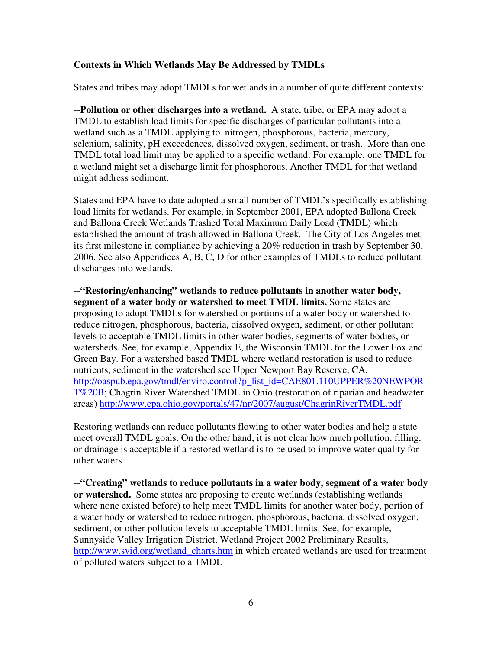#### **Contexts in Which Wetlands May Be Addressed by TMDLs**

States and tribes may adopt TMDLs for wetlands in a number of quite different contexts:

--**Pollution or other discharges into a wetland.** A state, tribe, or EPA may adopt a TMDL to establish load limits for specific discharges of particular pollutants into a wetland such as a TMDL applying to nitrogen, phosphorous, bacteria, mercury, selenium, salinity, pH exceedences, dissolved oxygen, sediment, or trash. More than one TMDL total load limit may be applied to a specific wetland. For example, one TMDL for a wetland might set a discharge limit for phosphorous. Another TMDL for that wetland might address sediment.

States and EPA have to date adopted a small number of TMDL's specifically establishing load limits for wetlands. For example, in September 2001, EPA adopted Ballona Creek and Ballona Creek Wetlands Trashed Total Maximum Daily Load (TMDL) which established the amount of trash allowed in Ballona Creek. The City of Los Angeles met its first milestone in compliance by achieving a 20% reduction in trash by September 30, 2006. See also Appendices A, B, C, D for other examples of TMDLs to reduce pollutant discharges into wetlands.

--**"Restoring/enhancing" wetlands to reduce pollutants in another water body, segment of a water body or watershed to meet TMDL limits.** Some states are proposing to adopt TMDLs for watershed or portions of a water body or watershed to reduce nitrogen, phosphorous, bacteria, dissolved oxygen, sediment, or other pollutant levels to acceptable TMDL limits in other water bodies, segments of water bodies, or watersheds. See, for example, Appendix E, the Wisconsin TMDL for the Lower Fox and Green Bay. For a watershed based TMDL where wetland restoration is used to reduce nutrients, sediment in the watershed see Upper Newport Bay Reserve, CA, http://oaspub.epa.gov/tmdl/enviro.control?p\_list\_id=CAE801.110UPPER%20NEWPOR T%20B; Chagrin River Watershed TMDL in Ohio (restoration of riparian and headwater areas) http://www.epa.ohio.gov/portals/47/nr/2007/august/ChagrinRiverTMDL.pdf

Restoring wetlands can reduce pollutants flowing to other water bodies and help a state meet overall TMDL goals. On the other hand, it is not clear how much pollution, filling, or drainage is acceptable if a restored wetland is to be used to improve water quality for other waters.

--**"Creating" wetlands to reduce pollutants in a water body, segment of a water body or watershed.** Some states are proposing to create wetlands (establishing wetlands where none existed before) to help meet TMDL limits for another water body, portion of a water body or watershed to reduce nitrogen, phosphorous, bacteria, dissolved oxygen, sediment, or other pollution levels to acceptable TMDL limits. See, for example, Sunnyside Valley Irrigation District, Wetland Project 2002 Preliminary Results, http://www.svid.org/wetland charts.htm in which created wetlands are used for treatment of polluted waters subject to a TMDL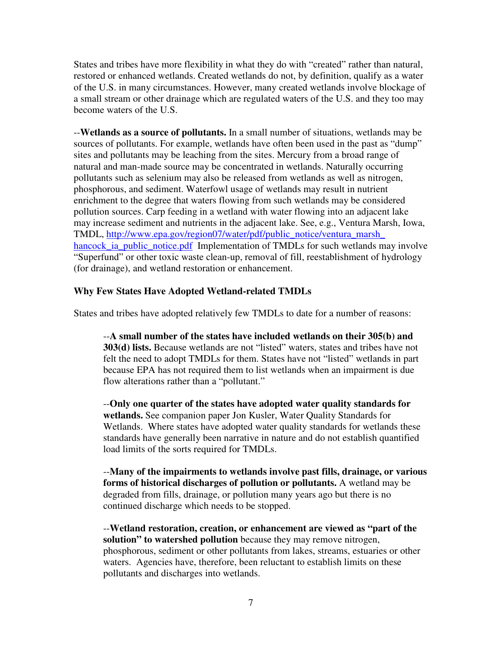States and tribes have more flexibility in what they do with "created" rather than natural, restored or enhanced wetlands. Created wetlands do not, by definition, qualify as a water of the U.S. in many circumstances. However, many created wetlands involve blockage of a small stream or other drainage which are regulated waters of the U.S. and they too may become waters of the U.S.

--**Wetlands as a source of pollutants.** In a small number of situations, wetlands may be sources of pollutants. For example, wetlands have often been used in the past as "dump" sites and pollutants may be leaching from the sites. Mercury from a broad range of natural and man-made source may be concentrated in wetlands. Naturally occurring pollutants such as selenium may also be released from wetlands as well as nitrogen, phosphorous, and sediment. Waterfowl usage of wetlands may result in nutrient enrichment to the degree that waters flowing from such wetlands may be considered pollution sources. Carp feeding in a wetland with water flowing into an adjacent lake may increase sediment and nutrients in the adjacent lake. See, e.g., Ventura Marsh, Iowa, TMDL, http://www.epa.gov/region07/water/pdf/public\_notice/ventura\_marsh\_ hancock ia public notice.pdf Implementation of TMDLs for such wetlands may involve "Superfund" or other toxic waste clean-up, removal of fill, reestablishment of hydrology (for drainage), and wetland restoration or enhancement.

#### **Why Few States Have Adopted Wetland-related TMDLs**

States and tribes have adopted relatively few TMDLs to date for a number of reasons:

--**A small number of the states have included wetlands on their 305(b) and 303(d) lists.** Because wetlands are not "listed" waters, states and tribes have not felt the need to adopt TMDLs for them. States have not "listed" wetlands in part because EPA has not required them to list wetlands when an impairment is due flow alterations rather than a "pollutant."

--**Only one quarter of the states have adopted water quality standards for wetlands.** See companion paper Jon Kusler, Water Quality Standards for Wetlands. Where states have adopted water quality standards for wetlands these standards have generally been narrative in nature and do not establish quantified load limits of the sorts required for TMDLs.

--**Many of the impairments to wetlands involve past fills, drainage, or various forms of historical discharges of pollution or pollutants.** A wetland may be degraded from fills, drainage, or pollution many years ago but there is no continued discharge which needs to be stopped.

--**Wetland restoration, creation, or enhancement are viewed as "part of the solution" to watershed pollution** because they may remove nitrogen, phosphorous, sediment or other pollutants from lakes, streams, estuaries or other waters. Agencies have, therefore, been reluctant to establish limits on these pollutants and discharges into wetlands.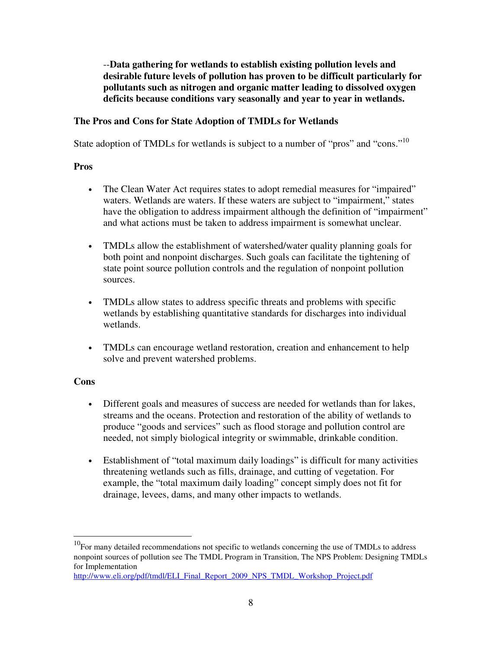--**Data gathering for wetlands to establish existing pollution levels and desirable future levels of pollution has proven to be difficult particularly for pollutants such as nitrogen and organic matter leading to dissolved oxygen deficits because conditions vary seasonally and year to year in wetlands.**

#### **The Pros and Cons for State Adoption of TMDLs for Wetlands**

State adoption of TMDLs for wetlands is subject to a number of "pros" and "cons."<sup>10</sup>

#### **Pros**

- The Clean Water Act requires states to adopt remedial measures for "impaired" waters. Wetlands are waters. If these waters are subject to "impairment," states have the obligation to address impairment although the definition of "impairment" and what actions must be taken to address impairment is somewhat unclear.
- TMDLs allow the establishment of watershed/water quality planning goals for both point and nonpoint discharges. Such goals can facilitate the tightening of state point source pollution controls and the regulation of nonpoint pollution sources.
- TMDLs allow states to address specific threats and problems with specific wetlands by establishing quantitative standards for discharges into individual wetlands.
- TMDLs can encourage wetland restoration, creation and enhancement to help solve and prevent watershed problems.

#### **Cons**

 $\overline{a}$ 

- Different goals and measures of success are needed for wetlands than for lakes, streams and the oceans. Protection and restoration of the ability of wetlands to produce "goods and services" such as flood storage and pollution control are needed, not simply biological integrity or swimmable, drinkable condition.
- Establishment of "total maximum daily loadings" is difficult for many activities threatening wetlands such as fills, drainage, and cutting of vegetation. For example, the "total maximum daily loading" concept simply does not fit for drainage, levees, dams, and many other impacts to wetlands.

 $10$ For many detailed recommendations not specific to wetlands concerning the use of TMDLs to address nonpoint sources of pollution see The TMDL Program in Transition, The NPS Problem: Designing TMDLs for Implementation

http://www.eli.org/pdf/tmdl/ELI\_Final\_Report\_2009\_NPS\_TMDL\_Workshop\_Project.pdf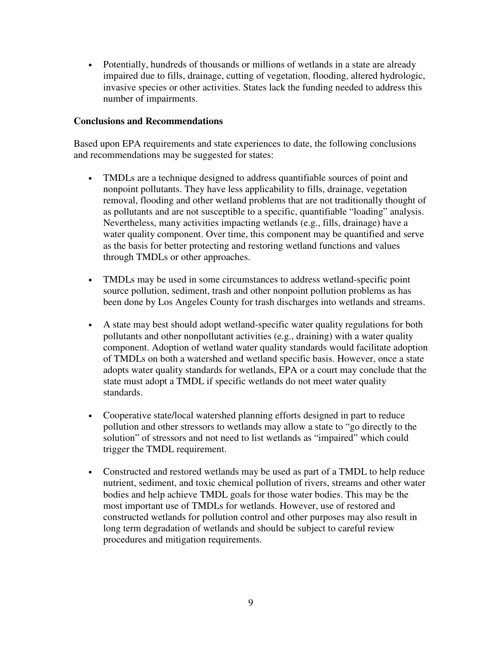• Potentially, hundreds of thousands or millions of wetlands in a state are already impaired due to fills, drainage, cutting of vegetation, flooding, altered hydrologic, invasive species or other activities. States lack the funding needed to address this number of impairments.

#### **Conclusions and Recommendations**

Based upon EPA requirements and state experiences to date, the following conclusions and recommendations may be suggested for states:

- TMDLs are a technique designed to address quantifiable sources of point and nonpoint pollutants. They have less applicability to fills, drainage, vegetation removal, flooding and other wetland problems that are not traditionally thought of as pollutants and are not susceptible to a specific, quantifiable "loading" analysis. Nevertheless, many activities impacting wetlands (e.g., fills, drainage) have a water quality component. Over time, this component may be quantified and serve as the basis for better protecting and restoring wetland functions and values through TMDLs or other approaches.
- TMDLs may be used in some circumstances to address wetland-specific point source pollution, sediment, trash and other nonpoint pollution problems as has been done by Los Angeles County for trash discharges into wetlands and streams.
- A state may best should adopt wetland-specific water quality regulations for both pollutants and other nonpollutant activities (e.g., draining) with a water quality component. Adoption of wetland water quality standards would facilitate adoption of TMDLs on both a watershed and wetland specific basis. However, once a state adopts water quality standards for wetlands, EPA or a court may conclude that the state must adopt a TMDL if specific wetlands do not meet water quality standards.
- Cooperative state/local watershed planning efforts designed in part to reduce pollution and other stressors to wetlands may allow a state to "go directly to the solution" of stressors and not need to list wetlands as "impaired" which could trigger the TMDL requirement.
- Constructed and restored wetlands may be used as part of a TMDL to help reduce nutrient, sediment, and toxic chemical pollution of rivers, streams and other water bodies and help achieve TMDL goals for those water bodies. This may be the most important use of TMDLs for wetlands. However, use of restored and constructed wetlands for pollution control and other purposes may also result in long term degradation of wetlands and should be subject to careful review procedures and mitigation requirements.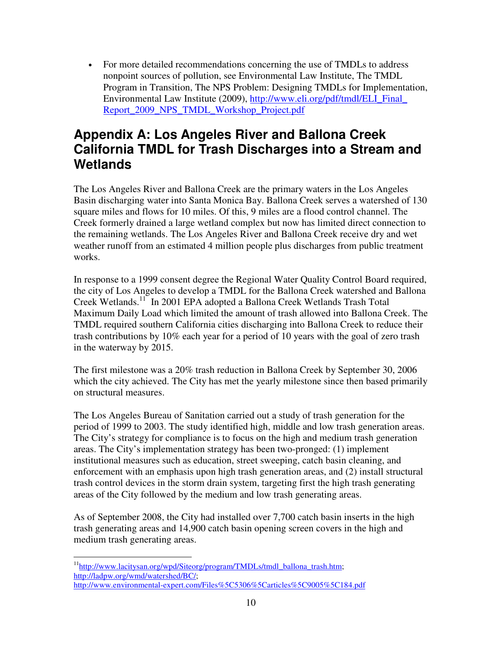• For more detailed recommendations concerning the use of TMDLs to address nonpoint sources of pollution, see Environmental Law Institute, The TMDL Program in Transition, The NPS Problem: Designing TMDLs for Implementation, Environmental Law Institute (2009), http://www.eli.org/pdf/tmdl/ELI\_Final\_ Report 2009 NPS TMDL Workshop Project.pdf

# **Appendix A: Los Angeles River and Ballona Creek California TMDL for Trash Discharges into a Stream and Wetlands**

The Los Angeles River and Ballona Creek are the primary waters in the Los Angeles Basin discharging water into Santa Monica Bay. Ballona Creek serves a watershed of 130 square miles and flows for 10 miles. Of this, 9 miles are a flood control channel. The Creek formerly drained a large wetland complex but now has limited direct connection to the remaining wetlands. The Los Angeles River and Ballona Creek receive dry and wet weather runoff from an estimated 4 million people plus discharges from public treatment works.

In response to a 1999 consent degree the Regional Water Quality Control Board required, the city of Los Angeles to develop a TMDL for the Ballona Creek watershed and Ballona Creek Wetlands.<sup>11</sup> In 2001 EPA adopted a Ballona Creek Wetlands Trash Total Maximum Daily Load which limited the amount of trash allowed into Ballona Creek. The TMDL required southern California cities discharging into Ballona Creek to reduce their trash contributions by 10% each year for a period of 10 years with the goal of zero trash in the waterway by 2015.

The first milestone was a 20% trash reduction in Ballona Creek by September 30, 2006 which the city achieved. The City has met the yearly milestone since then based primarily on structural measures.

The Los Angeles Bureau of Sanitation carried out a study of trash generation for the period of 1999 to 2003. The study identified high, middle and low trash generation areas. The City's strategy for compliance is to focus on the high and medium trash generation areas. The City's implementation strategy has been two-pronged: (1) implement institutional measures such as education, street sweeping, catch basin cleaning, and enforcement with an emphasis upon high trash generation areas, and (2) install structural trash control devices in the storm drain system, targeting first the high trash generating areas of the City followed by the medium and low trash generating areas.

As of September 2008, the City had installed over 7,700 catch basin inserts in the high trash generating areas and 14,900 catch basin opening screen covers in the high and medium trash generating areas.

 $\overline{a}$ <sup>11</sup>http://www.lacitysan.org/wpd/Siteorg/program/TMDLs/tmdl\_ballona\_trash.htm; http://ladpw.org/wmd/watershed/BC/; http://www.environmental-expert.com/Files%5C5306%5Carticles%5C9005%5C184.pdf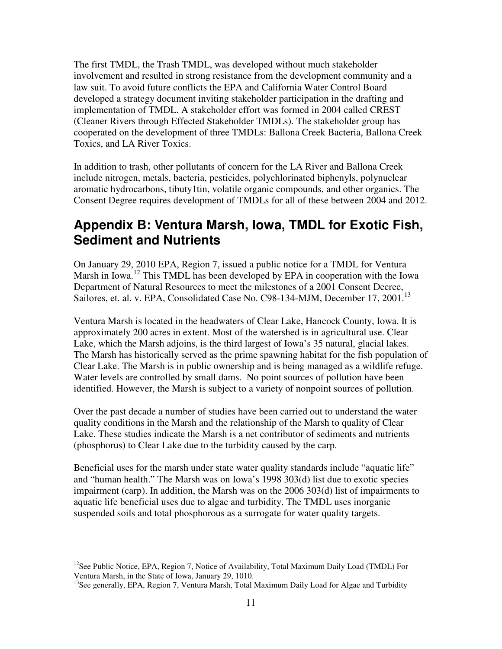The first TMDL, the Trash TMDL, was developed without much stakeholder involvement and resulted in strong resistance from the development community and a law suit. To avoid future conflicts the EPA and California Water Control Board developed a strategy document inviting stakeholder participation in the drafting and implementation of TMDL. A stakeholder effort was formed in 2004 called CREST (Cleaner Rivers through Effected Stakeholder TMDLs). The stakeholder group has cooperated on the development of three TMDLs: Ballona Creek Bacteria, Ballona Creek Toxics, and LA River Toxics.

In addition to trash, other pollutants of concern for the LA River and Ballona Creek include nitrogen, metals, bacteria, pesticides, polychlorinated biphenyls, polynuclear aromatic hydrocarbons, tibuty1tin, volatile organic compounds, and other organics. The Consent Degree requires development of TMDLs for all of these between 2004 and 2012.

# **Appendix B: Ventura Marsh, Iowa, TMDL for Exotic Fish, Sediment and Nutrients**

On January 29, 2010 EPA, Region 7, issued a public notice for a TMDL for Ventura Marsh in Iowa.<sup>12</sup> This TMDL has been developed by EPA in cooperation with the Iowa Department of Natural Resources to meet the milestones of a 2001 Consent Decree, Sailores, et. al. v. EPA, Consolidated Case No. C98-134-MJM, December 17, 2001.<sup>13</sup>

Ventura Marsh is located in the headwaters of Clear Lake, Hancock County, Iowa. It is approximately 200 acres in extent. Most of the watershed is in agricultural use. Clear Lake, which the Marsh adjoins, is the third largest of Iowa's 35 natural, glacial lakes. The Marsh has historically served as the prime spawning habitat for the fish population of Clear Lake. The Marsh is in public ownership and is being managed as a wildlife refuge. Water levels are controlled by small dams. No point sources of pollution have been identified. However, the Marsh is subject to a variety of nonpoint sources of pollution.

Over the past decade a number of studies have been carried out to understand the water quality conditions in the Marsh and the relationship of the Marsh to quality of Clear Lake. These studies indicate the Marsh is a net contributor of sediments and nutrients (phosphorus) to Clear Lake due to the turbidity caused by the carp.

Beneficial uses for the marsh under state water quality standards include "aquatic life" and "human health." The Marsh was on Iowa's 1998 303(d) list due to exotic species impairment (carp). In addition, the Marsh was on the 2006 303(d) list of impairments to aquatic life beneficial uses due to algae and turbidity. The TMDL uses inorganic suspended soils and total phosphorous as a surrogate for water quality targets.

 $\overline{a}$  $12$ See Public Notice, EPA, Region 7, Notice of Availability, Total Maximum Daily Load (TMDL) For Ventura Marsh, in the State of Iowa, January 29, 1010.

<sup>&</sup>lt;sup>13</sup>See generally, EPA, Region 7, Ventura Marsh, Total Maximum Daily Load for Algae and Turbidity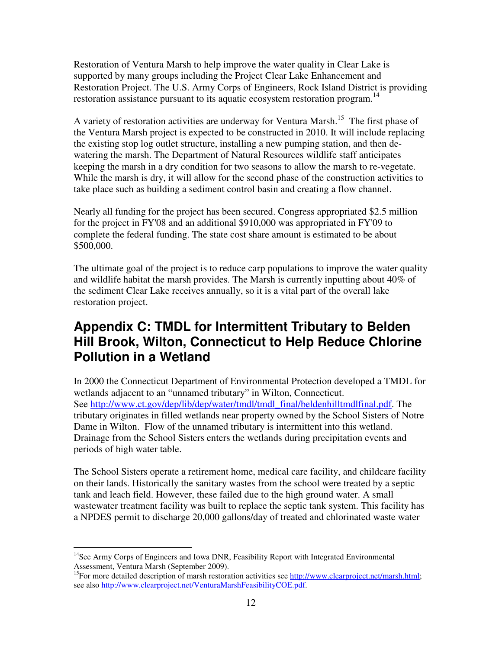Restoration of Ventura Marsh to help improve the water quality in Clear Lake is supported by many groups including the Project Clear Lake Enhancement and Restoration Project. The U.S. Army Corps of Engineers, Rock Island District is providing restoration assistance pursuant to its aquatic ecosystem restoration program.<sup>14</sup>

A variety of restoration activities are underway for Ventura Marsh.<sup>15</sup> The first phase of the Ventura Marsh project is expected to be constructed in 2010. It will include replacing the existing stop log outlet structure, installing a new pumping station, and then dewatering the marsh. The Department of Natural Resources wildlife staff anticipates keeping the marsh in a dry condition for two seasons to allow the marsh to re-vegetate. While the marsh is dry, it will allow for the second phase of the construction activities to take place such as building a sediment control basin and creating a flow channel.

Nearly all funding for the project has been secured. Congress appropriated \$2.5 million for the project in FY'08 and an additional \$910,000 was appropriated in FY'09 to complete the federal funding. The state cost share amount is estimated to be about \$500,000.

The ultimate goal of the project is to reduce carp populations to improve the water quality and wildlife habitat the marsh provides. The Marsh is currently inputting about 40% of the sediment Clear Lake receives annually, so it is a vital part of the overall lake restoration project.

# **Appendix C: TMDL for Intermittent Tributary to Belden Hill Brook, Wilton, Connecticut to Help Reduce Chlorine Pollution in a Wetland**

In 2000 the Connecticut Department of Environmental Protection developed a TMDL for wetlands adjacent to an "unnamed tributary" in Wilton, Connecticut. See http://www.ct.gov/dep/lib/dep/water/tmdl/tmdl\_final/beldenhilltmdlfinal.pdf. The tributary originates in filled wetlands near property owned by the School Sisters of Notre Dame in Wilton. Flow of the unnamed tributary is intermittent into this wetland. Drainage from the School Sisters enters the wetlands during precipitation events and periods of high water table.

The School Sisters operate a retirement home, medical care facility, and childcare facility on their lands. Historically the sanitary wastes from the school were treated by a septic tank and leach field. However, these failed due to the high ground water. A small wastewater treatment facility was built to replace the septic tank system. This facility has a NPDES permit to discharge 20,000 gallons/day of treated and chlorinated waste water

 $\overline{a}$  $<sup>14</sup>$ See Army Corps of Engineers and Iowa DNR, Feasibility Report with Integrated Environmental</sup> Assessment, Ventura Marsh (September 2009).

<sup>&</sup>lt;sup>15</sup>For more detailed description of marsh restoration activities see http://www.clearproject.net/marsh.html; see also http://www.clearproject.net/VenturaMarshFeasibilityCOE.pdf.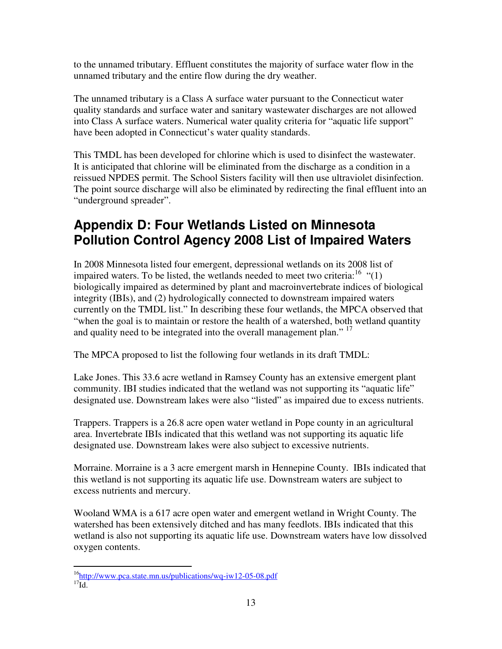to the unnamed tributary. Effluent constitutes the majority of surface water flow in the unnamed tributary and the entire flow during the dry weather.

The unnamed tributary is a Class A surface water pursuant to the Connecticut water quality standards and surface water and sanitary wastewater discharges are not allowed into Class A surface waters. Numerical water quality criteria for "aquatic life support" have been adopted in Connecticut's water quality standards.

This TMDL has been developed for chlorine which is used to disinfect the wastewater. It is anticipated that chlorine will be eliminated from the discharge as a condition in a reissued NPDES permit. The School Sisters facility will then use ultraviolet disinfection. The point source discharge will also be eliminated by redirecting the final effluent into an "underground spreader".

# **Appendix D: Four Wetlands Listed on Minnesota Pollution Control Agency 2008 List of Impaired Waters**

In 2008 Minnesota listed four emergent, depressional wetlands on its 2008 list of impaired waters. To be listed, the wetlands needed to meet two criteria:  $16$  "(1) biologically impaired as determined by plant and macroinvertebrate indices of biological integrity (IBIs), and (2) hydrologically connected to downstream impaired waters currently on the TMDL list." In describing these four wetlands, the MPCA observed that "when the goal is to maintain or restore the health of a watershed, both wetland quantity and quality need to be integrated into the overall management plan."<sup>17</sup>

The MPCA proposed to list the following four wetlands in its draft TMDL:

Lake Jones. This 33.6 acre wetland in Ramsey County has an extensive emergent plant community. IBI studies indicated that the wetland was not supporting its "aquatic life" designated use. Downstream lakes were also "listed" as impaired due to excess nutrients.

Trappers. Trappers is a 26.8 acre open water wetland in Pope county in an agricultural area. Invertebrate IBIs indicated that this wetland was not supporting its aquatic life designated use. Downstream lakes were also subject to excessive nutrients.

Morraine. Morraine is a 3 acre emergent marsh in Hennepine County. IBIs indicated that this wetland is not supporting its aquatic life use. Downstream waters are subject to excess nutrients and mercury.

Wooland WMA is a 617 acre open water and emergent wetland in Wright County. The watershed has been extensively ditched and has many feedlots. IBIs indicated that this wetland is also not supporting its aquatic life use. Downstream waters have low dissolved oxygen contents.

 $\overline{a}$ <sup>16</sup>http://www.pca.state.mn.us/publications/wq-iw12-05-08.pdf  $^{17}$ Id.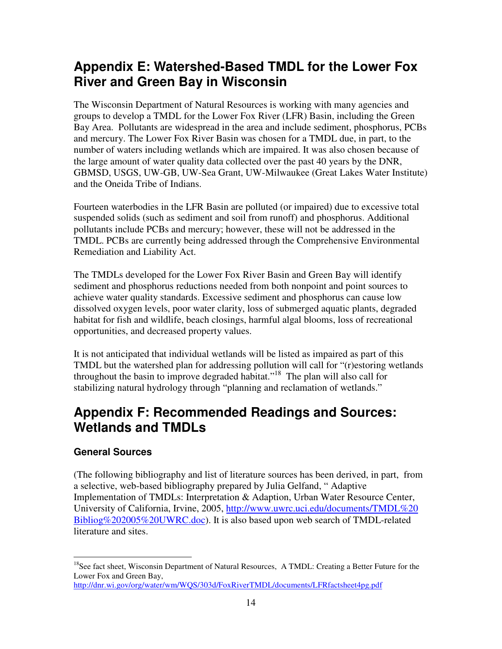# **Appendix E: Watershed-Based TMDL for the Lower Fox River and Green Bay in Wisconsin**

The Wisconsin Department of Natural Resources is working with many agencies and groups to develop a TMDL for the Lower Fox River (LFR) Basin, including the Green Bay Area. Pollutants are widespread in the area and include sediment, phosphorus, PCBs and mercury. The Lower Fox River Basin was chosen for a TMDL due, in part, to the number of waters including wetlands which are impaired. It was also chosen because of the large amount of water quality data collected over the past 40 years by the DNR, GBMSD, USGS, UW-GB, UW-Sea Grant, UW-Milwaukee (Great Lakes Water Institute) and the Oneida Tribe of Indians.

Fourteen waterbodies in the LFR Basin are polluted (or impaired) due to excessive total suspended solids (such as sediment and soil from runoff) and phosphorus. Additional pollutants include PCBs and mercury; however, these will not be addressed in the TMDL. PCBs are currently being addressed through the Comprehensive Environmental Remediation and Liability Act.

The TMDLs developed for the Lower Fox River Basin and Green Bay will identify sediment and phosphorus reductions needed from both nonpoint and point sources to achieve water quality standards. Excessive sediment and phosphorus can cause low dissolved oxygen levels, poor water clarity, loss of submerged aquatic plants, degraded habitat for fish and wildlife, beach closings, harmful algal blooms, loss of recreational opportunities, and decreased property values.

It is not anticipated that individual wetlands will be listed as impaired as part of this TMDL but the watershed plan for addressing pollution will call for "(r)estoring wetlands throughout the basin to improve degraded habitat."<sup>18</sup> The plan will also call for stabilizing natural hydrology through "planning and reclamation of wetlands."

### **Appendix F: Recommended Readings and Sources: Wetlands and TMDLs**

### **General Sources**

(The following bibliography and list of literature sources has been derived, in part, from a selective, web-based bibliography prepared by Julia Gelfand, " Adaptive Implementation of TMDLs: Interpretation & Adaption, Urban Water Resource Center, University of California, Irvine, 2005, http://www.uwrc.uci.edu/documents/TMDL%20 Bibliog%202005%20UWRC.doc). It is also based upon web search of TMDL-related literature and sites.

 $\overline{a}$ <sup>18</sup>See fact sheet, Wisconsin Department of Natural Resources, A TMDL: Creating a Better Future for the Lower Fox and Green Bay,

http://dnr.wi.gov/org/water/wm/WQS/303d/FoxRiverTMDL/documents/LFRfactsheet4pg.pdf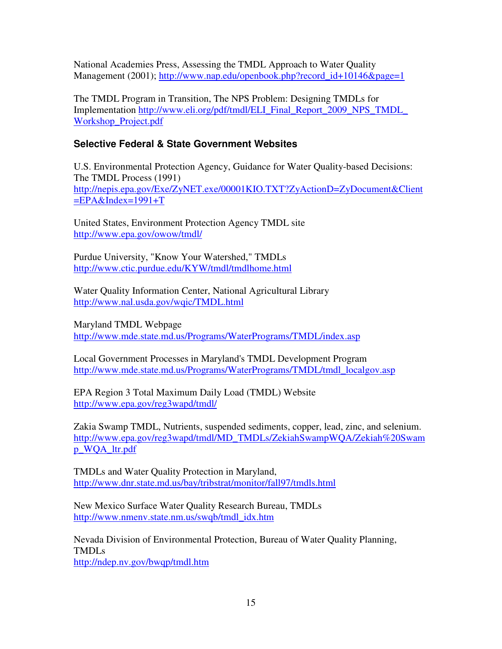National Academies Press, Assessing the TMDL Approach to Water Quality Management (2001); http://www.nap.edu/openbook.php?record\_id+10146&page=1

The TMDL Program in Transition, The NPS Problem: Designing TMDLs for Implementation http://www.eli.org/pdf/tmdl/ELI\_Final\_Report\_2009\_NPS\_TMDL\_ Workshop\_Project.pdf

### **Selective Federal & State Government Websites**

U.S. Environmental Protection Agency, Guidance for Water Quality-based Decisions: The TMDL Process (1991) http://nepis.epa.gov/Exe/ZyNET.exe/00001KIO.TXT?ZyActionD=ZyDocument&Client  $=$ EPA&Index=1991+T

United States, Environment Protection Agency TMDL site http://www.epa.gov/owow/tmdl/

Purdue University, "Know Your Watershed," TMDLs http://www.ctic.purdue.edu/KYW/tmdl/tmdlhome.html

Water Quality Information Center, National Agricultural Library http://www.nal.usda.gov/wqic/TMDL.html

Maryland TMDL Webpage http://www.mde.state.md.us/Programs/WaterPrograms/TMDL/index.asp

Local Government Processes in Maryland's TMDL Development Program http://www.mde.state.md.us/Programs/WaterPrograms/TMDL/tmdl\_localgov.asp

EPA Region 3 Total Maximum Daily Load (TMDL) Website http://www.epa.gov/reg3wapd/tmdl/

Zakia Swamp TMDL, Nutrients, suspended sediments, copper, lead, zinc, and selenium. http://www.epa.gov/reg3wapd/tmdl/MD\_TMDLs/ZekiahSwampWQA/Zekiah%20Swam p\_WQA\_ltr.pdf

TMDLs and Water Quality Protection in Maryland, http://www.dnr.state.md.us/bay/tribstrat/monitor/fall97/tmdls.html

New Mexico Surface Water Quality Research Bureau, TMDLs http://www.nmenv.state.nm.us/swqb/tmdl\_idx.htm

Nevada Division of Environmental Protection, Bureau of Water Quality Planning, TMDLs

http://ndep.nv.gov/bwqp/tmdl.htm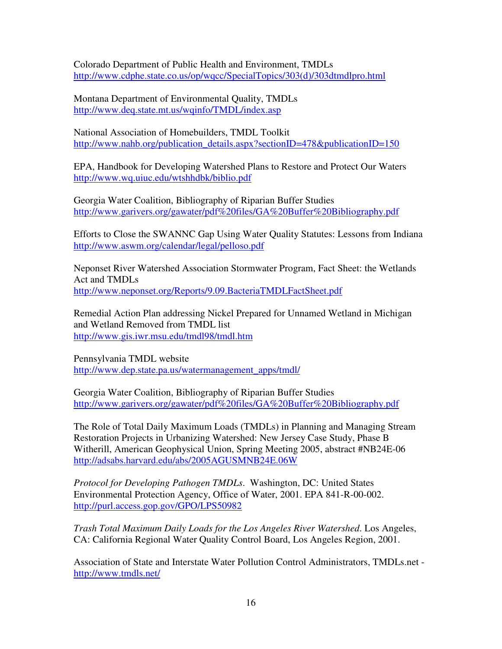Colorado Department of Public Health and Environment, TMDLs http://www.cdphe.state.co.us/op/wqcc/SpecialTopics/303(d)/303dtmdlpro.html

Montana Department of Environmental Quality, TMDLs http://www.deq.state.mt.us/wqinfo/TMDL/index.asp

National Association of Homebuilders, TMDL Toolkit http://www.nahb.org/publication\_details.aspx?sectionID=478&publicationID=150

EPA, Handbook for Developing Watershed Plans to Restore and Protect Our Waters http://www.wq.uiuc.edu/wtshhdbk/biblio.pdf

Georgia Water Coalition, Bibliography of Riparian Buffer Studies http://www.garivers.org/gawater/pdf%20files/GA%20Buffer%20Bibliography.pdf

Efforts to Close the SWANNC Gap Using Water Quality Statutes: Lessons from Indiana http://www.aswm.org/calendar/legal/pelloso.pdf

Neponset River Watershed Association Stormwater Program, Fact Sheet: the Wetlands Act and TMDLs http://www.neponset.org/Reports/9.09.BacteriaTMDLFactSheet.pdf

Remedial Action Plan addressing Nickel Prepared for Unnamed Wetland in Michigan and Wetland Removed from TMDL list http://www.gis.iwr.msu.edu/tmdl98/tmdl.htm

Pennsylvania TMDL website http://www.dep.state.pa.us/watermanagement\_apps/tmdl/

Georgia Water Coalition, Bibliography of Riparian Buffer Studies http://www.garivers.org/gawater/pdf%20files/GA%20Buffer%20Bibliography.pdf

The Role of Total Daily Maximum Loads (TMDLs) in Planning and Managing Stream Restoration Projects in Urbanizing Watershed: New Jersey Case Study, Phase B Witherill, American Geophysical Union, Spring Meeting 2005, abstract #NB24E-06 http://adsabs.harvard.edu/abs/2005AGUSMNB24E.06W

*Protocol for Developing Pathogen TMDLs*. Washington, DC: United States Environmental Protection Agency, Office of Water, 2001. EPA 841-R-00-002. http://purl.access.gop.gov/GPO/LPS50982

*Trash Total Maximum Daily Loads for the Los Angeles River Watershed*. Los Angeles, CA: California Regional Water Quality Control Board, Los Angeles Region, 2001.

Association of State and Interstate Water Pollution Control Administrators, TMDLs.net http://www.tmdls.net/